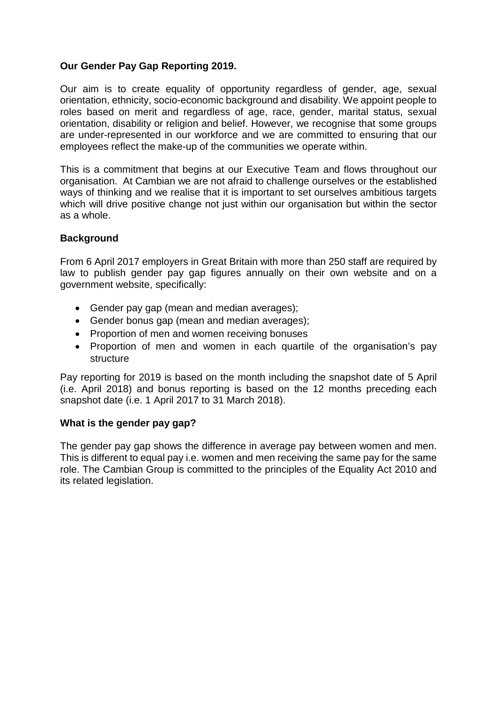# **Our Gender Pay Gap Reporting 2019.**

Our aim is to create equality of opportunity regardless of gender, age, sexual orientation, ethnicity, socio-economic background and disability. We appoint people to roles based on merit and regardless of age, race, gender, marital status, sexual orientation, disability or religion and belief. However, we recognise that some groups are under-represented in our workforce and we are committed to ensuring that our employees reflect the make-up of the communities we operate within.

This is a commitment that begins at our Executive Team and flows throughout our organisation. At Cambian we are not afraid to challenge ourselves or the established ways of thinking and we realise that it is important to set ourselves ambitious targets which will drive positive change not just within our organisation but within the sector as a whole.

# **Background**

From 6 April 2017 employers in Great Britain with more than 250 staff are required by law to publish gender pay gap figures annually on their own website and on a government website, specifically:

- Gender pay gap (mean and median averages);
- Gender bonus gap (mean and median averages);
- Proportion of men and women receiving bonuses
- Proportion of men and women in each quartile of the organisation's pay structure

Pay reporting for 2019 is based on the month including the snapshot date of 5 April (i.e. April 2018) and bonus reporting is based on the 12 months preceding each snapshot date (i.e. 1 April 2017 to 31 March 2018).

### **What is the gender pay gap?**

The gender pay gap shows the difference in average pay between women and men. This is different to equal pay i.e. women and men receiving the same pay for the same role. The Cambian Group is committed to the principles of the Equality Act 2010 and its related legislation.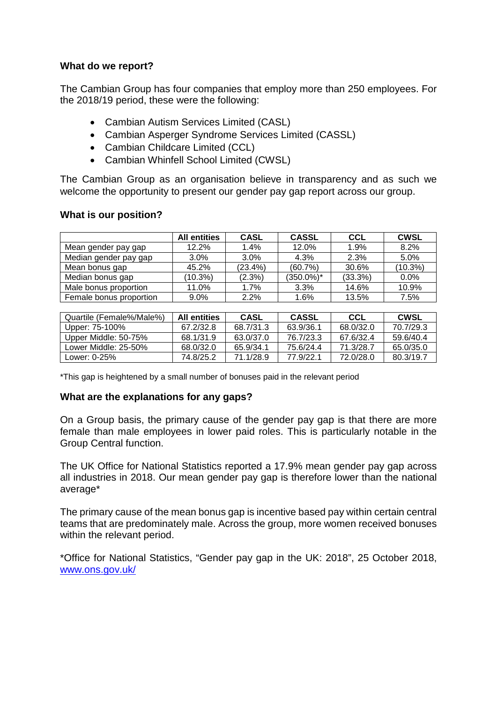### **What do we report?**

The Cambian Group has four companies that employ more than 250 employees. For the 2018/19 period, these were the following:

- Cambian Autism Services Limited (CASL)
- Cambian Asperger Syndrome Services Limited (CASSL)
- Cambian Childcare Limited (CCL)
- Cambian Whinfell School Limited (CWSL)

The Cambian Group as an organisation believe in transparency and as such we welcome the opportunity to present our gender pay gap report across our group.

### **What is our position?**

|                         | <b>All entities</b> | <b>CASL</b> | <b>CASSL</b>  | CCL        | <b>CWSL</b> |
|-------------------------|---------------------|-------------|---------------|------------|-------------|
| Mean gender pay gap     | 12.2%               | $1.4\%$     | 12.0%         | 1.9%       | 8.2%        |
| Median gender pay gap   | $3.0\%$             | $3.0\%$     | 4.3%          | 2.3%       | 5.0%        |
| Mean bonus gap          | 45.2%               | (23.4%)     | (60.7%)       | 30.6%      | $(10.3\%)$  |
| Median bonus gap        | (10.3%)             | (2.3%)      | $(350.0\%)^*$ | $(33.3\%)$ | $0.0\%$     |
| Male bonus proportion   | 11.0%               | 1.7%        | 3.3%          | 14.6%      | 10.9%       |
| Female bonus proportion | $9.0\%$             | 2.2%        | 1.6%          | 13.5%      | 7.5%        |

| Quartile (Female%/Male%) | <b>All entities</b> | <b>CASL</b> | <b>CASSL</b> | CCL       | CWSL      |
|--------------------------|---------------------|-------------|--------------|-----------|-----------|
| Upper: 75-100%           | 67.2/32.8           | 68.7/31.3   | 63.9/36.1    | 68.0/32.0 | 70.7/29.3 |
| Upper Middle: 50-75%     | 68.1/31.9           | 63.0/37.0   | 76.7/23.3    | 67.6/32.4 | 59.6/40.4 |
| Lower Middle: 25-50%     | 68.0/32.0           | 65 9/34 1   | 75.6/24.4    | 71 3/28 7 | 65.0/35.0 |
| Lower: 0-25%             | 74.8/25.2           | 71.1/28.9   | 77.9/22.1    | 72.0/28.0 | 80 3/19 7 |

\*This gap is heightened by a small number of bonuses paid in the relevant period

### **What are the explanations for any gaps?**

On a Group basis, the primary cause of the gender pay gap is that there are more female than male employees in lower paid roles. This is particularly notable in the Group Central function.

The UK Office for National Statistics reported a 17.9% mean gender pay gap across all industries in 2018. Our mean gender pay gap is therefore lower than the national average\*

The primary cause of the mean bonus gap is incentive based pay within certain central teams that are predominately male. Across the group, more women received bonuses within the relevant period.

\*Office for National Statistics, "Gender pay gap in the UK: 2018", 25 October 2018, www.ons.gov.uk/